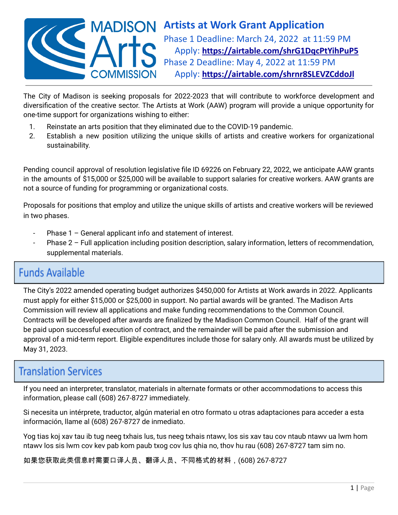

**MADISON** Artists at Work Grant Application Phase 1 Deadline: March 24, 2022 at 11:59 PM Apply: **<https://airtable.com/shrG1DqcPtYihPuP5>** Phase 2 Deadline: May 4, 2022 at 11:59 PM Apply: **https://airtable.com/shrnr8SLEVZCddoJl**

The City of Madison is seeking proposals for 2022-2023 that will contribute to workforce development and diversification of the creative sector. The Artists at Work (AAW) program will provide a unique opportunity for one-time support for organizations wishing to either:

- 1. Reinstate an arts position that they eliminated due to the COVID-19 pandemic.
- 2. Establish a new position utilizing the unique skills of artists and creative workers for organizational sustainability.

Pending council approval of resolution legislative file ID 69226 on February 22, 2022, we anticipate AAW grants in the amounts of \$15,000 or \$25,000 will be available to support salaries for creative workers. AAW grants are not a source of funding for programming or organizational costs.

Proposals for positions that employ and utilize the unique skills of artists and creative workers will be reviewed in two phases.

- Phase  $1 -$  General applicant info and statement of interest.
- Phase 2 Full application including position description, salary information, letters of recommendation, supplemental materials.

### **Funds Available**

The City's 2022 amended operating budget authorizes \$450,000 for Artists at Work awards in 2022. Applicants must apply for either \$15,000 or \$25,000 in support. No partial awards will be granted. The Madison Arts Commission will review all applications and make funding recommendations to the Common Council. Contracts will be developed after awards are finalized by the Madison Common Council. Half of the grant will be paid upon successful execution of contract, and the remainder will be paid after the submission and approval of a mid-term report. Eligible expenditures include those for salary only. All awards must be utilized by May 31, 2023.

### **Translation Services**

If you need an interpreter, translator, materials in alternate formats or other accommodations to access this information, please call (608) 267-8727 immediately.

Si necesita un intérprete, traductor, algún material en otro formato u otras adaptaciones para acceder a esta información, llame al (608) 267-8727 de inmediato.

Yog tias koj xav tau ib tug neeg txhais lus, tus neeg txhais ntawv, los sis xav tau cov ntaub ntawv ua lwm hom ntawv los sis lwm cov kev pab kom paub txog cov lus qhia no, thov hu rau (608) 267-8727 tam sim no.

如果您获取此类信息时需要口译人员、翻译人员、不同格式的材料,(608) 267-8727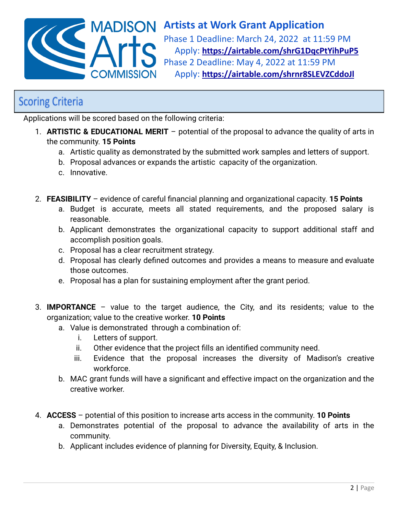

**MADISON** Artists at Work Grant Application Phase 1 Deadline: March 24, 2022 at 11:59 PM Apply: **<https://airtable.com/shrG1DqcPtYihPuP5>** Phase 2 Deadline: May 4, 2022 at 11:59 PM Apply: **https://airtable.com/shrnr8SLEVZCddoJl**

# **Scoring Criteria**

Applications will be scored based on the following criteria:

- 1. **ARTISTIC & EDUCATIONAL MERIT** potential of the proposal to advance the quality of arts in the community. **15 Points**
	- a. Artistic quality as demonstrated by the submitted work samples and letters of support.
	- b. Proposal advances or expands the artistic capacity of the organization.
	- c. Innovative.
- 2. **FEASIBILITY** evidence of careful financial planning and organizational capacity. **15 Points**
	- a. Budget is accurate, meets all stated requirements, and the proposed salary is reasonable.
	- b. Applicant demonstrates the organizational capacity to support additional staff and accomplish position goals.
	- c. Proposal has a clear recruitment strategy.
	- d. Proposal has clearly defined outcomes and provides a means to measure and evaluate those outcomes.
	- e. Proposal has a plan for sustaining employment after the grant period.
- 3. **IMPORTANCE** value to the target audience, the City, and its residents; value to the organization; value to the creative worker. **10 Points**
	- a. Value is demonstrated through a combination of:
		- i. Letters of support.
		- ii. Other evidence that the project fills an identified community need.
		- iii. Evidence that the proposal increases the diversity of Madison's creative workforce.
	- b. MAC grant funds will have a significant and effective impact on the organization and the creative worker.
- 4. **ACCESS** potential of this position to increase arts access in the community. **10 Points**
	- a. Demonstrates potential of the proposal to advance the availability of arts in the community.
	- b. Applicant includes evidence of planning for Diversity, Equity, & Inclusion.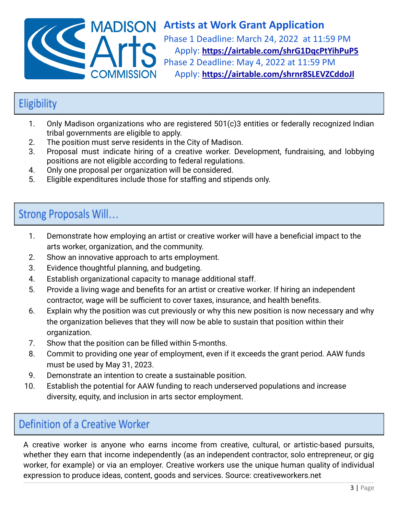

**Artists at Work Grant Application** Phase 1 Deadline: March 24, 2022 at 11:59 PM Apply: **<https://airtable.com/shrG1DqcPtYihPuP5>** Phase 2 Deadline: May 4, 2022 at 11:59 PM Apply: **https://airtable.com/shrnr8SLEVZCddoJl**

# Eligibility

- 1. Only Madison organizations who are registered 501(c)3 entities or federally recognized Indian tribal governments are eligible to apply.
- 2. The position must serve residents in the City of Madison.
- 3. Proposal must indicate hiring of a creative worker. Development, fundraising, and lobbying positions are not eligible according to federal regulations.
- 4. Only one proposal per organization will be considered.
- 5. Eligible expenditures include those for staffing and stipends only.

# **Strong Proposals Will...**

- 1. Demonstrate how employing an artist or creative worker will have a beneficial impact to the arts worker, organization, and the community.
- 2. Show an innovative approach to arts employment.
- 3. Evidence thoughtful planning, and budgeting.
- 4. Establish organizational capacity to manage additional staff.
- 5. Provide a living wage and benefits for an artist or creative worker. If hiring an independent contractor, wage will be sufficient to cover taxes, insurance, and health benefits.
- 6. Explain why the position was cut previously or why this new position is now necessary and why the organization believes that they will now be able to sustain that position within their organization.
- 7. Show that the position can be filled within 5-months.
- 8. Commit to providing one year of employment, even if it exceeds the grant period. AAW funds must be used by May 31, 2023.
- 9. Demonstrate an intention to create a sustainable position.
- 10. Establish the potential for AAW funding to reach underserved populations and increase diversity, equity, and inclusion in arts sector employment.

### **Definition of a Creative Worker**

A creative worker is anyone who earns income from creative, cultural, or artistic-based pursuits, whether they earn that income independently (as an independent contractor, solo entrepreneur, or gig worker, for example) or via an employer. Creative workers use the unique human quality of individual expression to produce ideas, content, goods and services. Source: creativeworkers.net